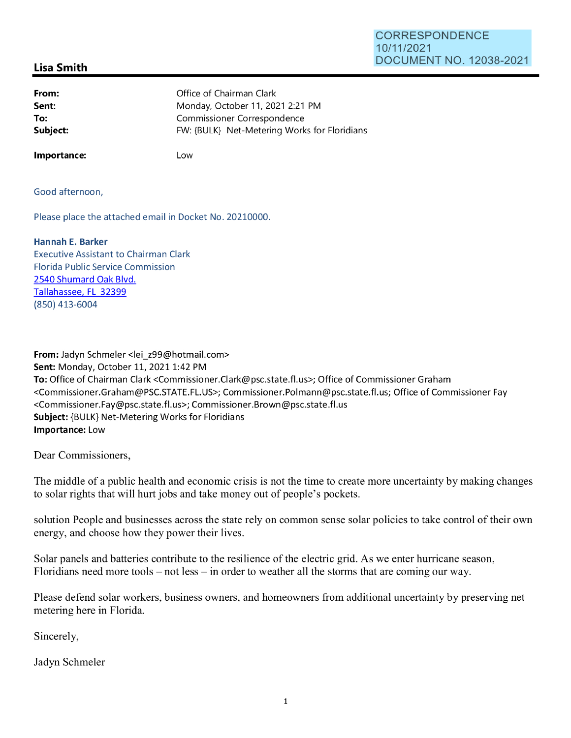## CORRESPONDENCE 10/11/2021 DOCUMENT NO. 12038-2021

## **Lisa Smith**

| From:    | Office of Chairman Clark                     |
|----------|----------------------------------------------|
| Sent:    | Monday, October 11, 2021 2:21 PM             |
| To:      | Commissioner Correspondence                  |
| Subject: | FW: {BULK} Net-Metering Works for Floridians |
|          |                                              |

**Importance:** 

Low

Good afternoon,

Please place the attached email in Docket No. 20210000.

## **Hannah E. Barker**

Executive Assistant to Chairman Clark Florida Public Service Commission 2540 Shumard Oak Blvd. Tallahassee, FL 32399 (850) 413-6004

**From:** Jadyn Schmeler <lei\_z99@hotmail.com> **Sent:** Monday, October 11, 2021 1:42 PM **To:** Office of Chairman Clark <Commissioner.Clark@psc.state.fl.us>; Office of Commissioner Graham <Commissioner.Graham@PSC.STATE.FL.US>; Commissioner.Polmann@psc.state.fl.us; Office of Commissioner Fay <Commissioner.Fay@psc.state.fl.us>; Commissioner.Brown@psc.state.fl.us **Subject:** {BULK} Net-Metering Works for Floridians **Importance:** Low

Dear Commissioners,

The middle of a public health and economic crisis is not the time to create more uncertainty by making changes to solar rights that will hurt jobs and take money out of people's pockets.

solution People and businesses across the state rely on common sense solar policies to take control of their own energy, and choose how they power their lives.

Solar panels and batteries contribute to the resilience of the electric grid. As we enter hurricane season, Floridians need more tools  $-$  not less  $-$  in order to weather all the storms that are coming our way.

Please defend solar workers, business owners, and homeowners from additional uncertainty by preserving net metering here in Florida.

Sincerely,

Jadyn Schmeler